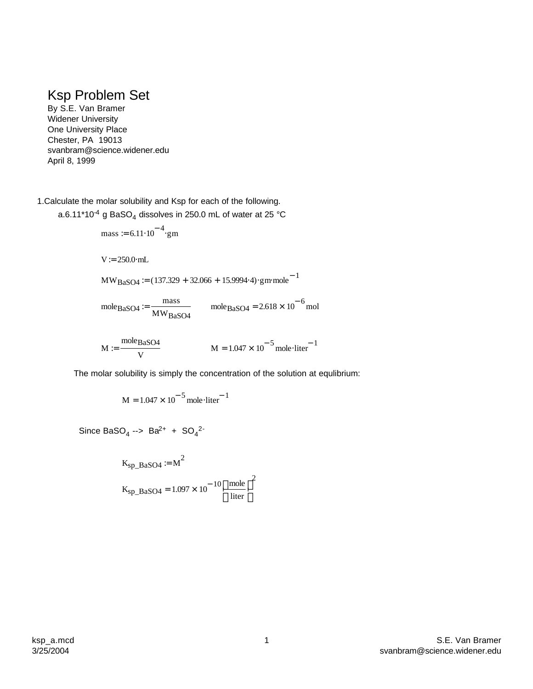## Ksp Problem Set

By S.E. Van Bramer Widener University One University Place Chester, PA 19013 svanbram@science.widener.edu April 8, 1999

1.Calculate the molar solubility and Ksp for each of the following.

a.6.11\*10<sup>-4</sup> g BaSO<sub>4</sub> dissolves in 250.0 mL of water at 25 °C

mass := 6.11·10<sup>-4</sup>·gm  
\nV := 250.0·mL  
\nMWBaSO4 := (137.329 + 32.066 + 15.9994·4)·gm mole<sup>-1</sup>  
\nmoleBaSO4 := 
$$
\frac{\text{mass}}{\text{MWBaSO4}}
$$
 moleBaSO4 = 2.618 × 10<sup>-6</sup> mol  
\nM :=  $\frac{\text{moleBaSO4}}{\text{V}}$  M = 1.047 × 10<sup>-5</sup> mole·liter<sup>-1</sup>

The molar solubility is simply the concentration of the solution at equlibrium:

$$
M = 1.047 \times 10^{-5} \text{ mole·liter}^{-1}
$$

Since BaSO<sub>4</sub> --> Ba<sup>2+</sup> + SO<sub>4</sub><sup>2-</sup>

$$
K_{\text{sp\_BaSO4}} := M^2
$$
  

$$
K_{\text{sp\_BaSO4}} = 1.097 \times 10^{-10} \left(\frac{\text{mole}}{\text{liter}}\right)^2
$$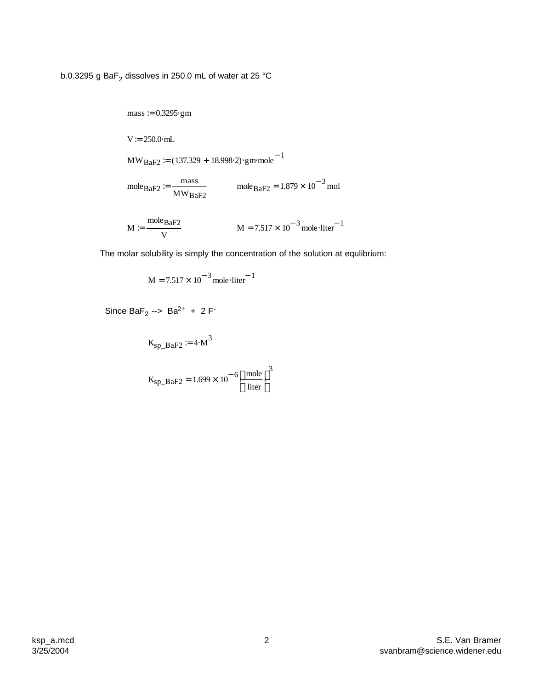b.0.3295 g BaF $_{\rm 2}$  dissolves in 250.0 mL of water at 25 °C

mass := 0.3295·gm  
\nV := 250.0·mL  
\nMW<sub>BaF2</sub> := (137.329 + 18.998·2)·gm mole<sup>-1</sup>  
\nmole<sub>BaF2</sub> := 
$$
\frac{\text{mass}}{\text{MW}_{\text{BaF2}}}
$$
 mole<sub>BaF2</sub> = 1.879 × 10<sup>-3</sup> mol  
\nM :=  $\frac{\text{mole}_{\text{BaF2}}}{V}$  M = 7.517 × 10<sup>-3</sup> mole·liter<sup>-1</sup>

The molar solubility is simply the concentration of the solution at equlibrium:

 $M = 7.517 \times 10^{-3}$  mole liter<sup>-1</sup>

Since BaF<sub>2</sub> --> Ba<sup>2+</sup> + 2 F<sup>-</sup>

 $K_{\text{sp\_BaF2}} \coloneqq 4 \cdot M^3$ 

$$
K_{\rm sp\_BaF2} = 1.699 \times 10^{-6} \left(\frac{\text{mole}}{\text{liter}}\right)^3
$$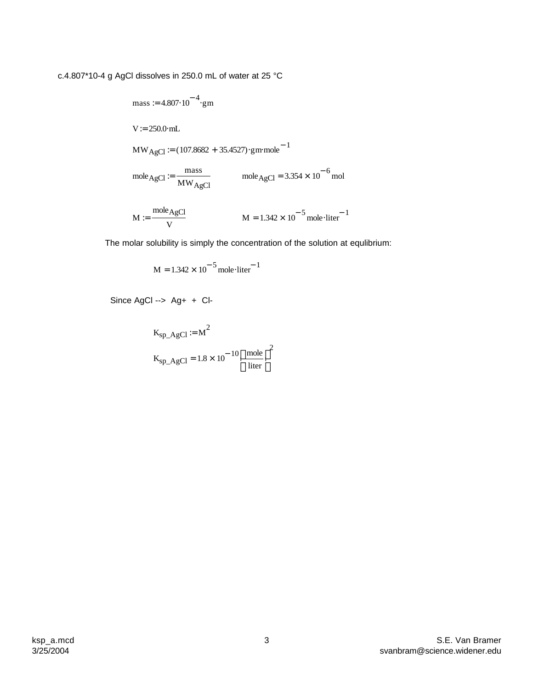c.4.807\*10-4 g AgCl dissolves in 250.0 mL of water at 25 °C

mass := 4.807·10<sup>-4</sup>·gm  
\nV := 250.0·mL  
\nMW<sub>AgCl</sub> := (107.8682 + 35.4527)·gm mole<sup>-1</sup>  
\nmole<sub>AgCl</sub> := 
$$
\frac{\text{mass}}{\text{MW}_{AgCl}}
$$
 mole<sub>AgCl</sub> = 3.354 × 10<sup>-6</sup> mol  
\nM :=  $\frac{\text{mole}_{AgCl}}{\text{V}}$  M = 1.342 × 10<sup>-5</sup> mole·liter<sup>-1</sup>

The molar solubility is simply the concentration of the solution at equlibrium:

$$
M = 1.342 \times 10^{-5} \text{ mole·liter}^{-1}
$$

Since AgCl --> Ag+ + Cl-

$$
K_{\text{sp}\_\text{AgCl}} := M^2
$$
  

$$
K_{\text{sp}\_A \text{gCl}} = 1.8 \times 10^{-10} \left(\frac{\text{mole}}{\text{liter}}\right)^2
$$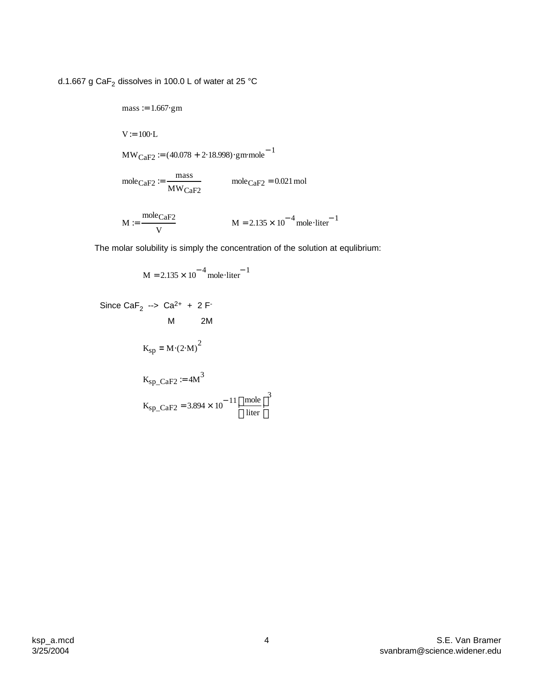d.1.667 g Ca $\mathsf{F}_2$  dissolves in 100.0 L of water at 25 °C

mass := 1.667·gm  
\nV := 100·L  
\nMW<sub>CaF2</sub> := (40.078 + 2·18.998)·gm mole<sup>-1</sup>  
\nmole<sub>CaF2</sub> := 
$$
\frac{\text{mass}}{\text{MW}_{\text{CaF2}}}
$$
 mole<sub>CaF2</sub> = 0.021 mol  
\nM :=  $\frac{\text{mole}_{\text{CaF2}}}{V}$  M = 2.135 × 10<sup>-4</sup> mole·liter<sup>-1</sup>

The molar solubility is simply the concentration of the solution at equlibrium:

$$
M = 2.135 \times 10^{-4} \text{ mole·liter}^{-1}
$$

Since 
$$
CaF_2 \rightarrow Ca^{2+} + 2F
$$
  
\nM 2M  
\n $K_{sp} = M \cdot (2 \cdot M)^2$   
\n $K_{sp\_CaF2} := 4M^3$   
\n $K_{sp\_CaF2} = 3.894 \times 10^{-11} \left(\frac{\text{mole}}{\text{liter}}\right)^3$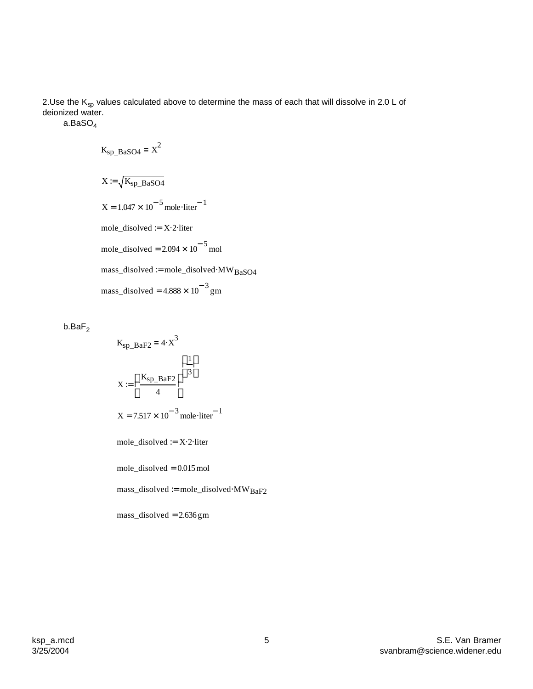2.Use the  $\mathsf{K}_{\mathrm{sp}}$  values calculated above to determine the mass of each that will dissolve in 2.0 L of deionized water.

a.BaSO<sup>4</sup>

$$
K_{\rm sp\_BaSO4} = X^2
$$
  
\n
$$
X := \sqrt{K_{\rm sp\_BaSO4}}
$$
  
\n
$$
X = 1.047 \times 10^{-5} \text{ mole·liter}^{-1}
$$
  
\n
$$
\text{mole\_disolved} := X \cdot 2 \cdot \text{liter}
$$
  
\n
$$
\text{mole\_disolved} = 2.094 \times 10^{-5} \text{ mol}
$$
  
\n
$$
\text{mass\_disolved} := \text{mole\_disolved} \cdot \text{MW}_{\text{BaSO4}}
$$
  
\n
$$
\text{mass\_disolved} = 4.888 \times 10^{-3} \text{ gm}
$$

 $b$ .Ba $F<sub>2</sub>$ 

$$
K_{\text{sp\_BaF2}} = 4 \cdot x^3
$$
  

$$
X := \left(\frac{K_{\text{sp\_BaF2}}}{4}\right)^{\left(\frac{1}{3}\right)}
$$
  

$$
X = 7.517 \times 10^{-3} \text{ mole·liter}^{-1}
$$

mole\_disolved := X⋅2⋅liter

mole\_disolved = 0.015mol

mass\_disolved := mole\_disolved⋅MWBaF2

mass\_disolved = 2.636gm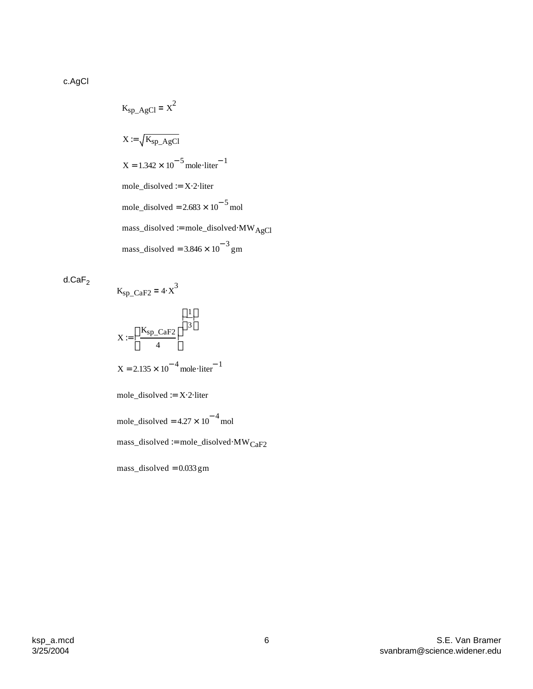c.AgCl

$$
K_{\rm sp\_AgCl} = X^2
$$
  
\n
$$
X := \sqrt{K_{\rm sp\_AgCl}}
$$
  
\n
$$
X = 1.342 \times 10^{-5} \text{ mole·liter}^{-1}
$$
  
\n
$$
\text{mole\_disolved} := X \cdot 2 \cdot \text{liter}
$$
  
\n
$$
\text{mole\_disolved} = 2.683 \times 10^{-5} \text{ mol}
$$
  
\n
$$
\text{mass\_disolved} := \text{mole\_disolved} \cdot \text{MW}_{\text{AgCl}}
$$
  
\n
$$
\text{mass\_disolved} = 3.846 \times 10^{-3} \text{ gm}
$$

d. $\mathsf{CaF}_2$ 

$$
K_{\rm sp\_CaF2} = 4 \cdot X^3
$$
  
\n
$$
X := \left(\frac{K_{\rm sp\_CaF2}}{4}\right)^{\left(\frac{1}{3}\right)}
$$
  
\n
$$
X = 2.135 \times 10^{-4} \text{ mole·liter}^{-1}
$$
  
\n
$$
\text{mole\_disolved} := X \cdot 2 \cdot \text{liter}
$$
  
\n
$$
\text{mole\_disolved} = 4.27 \times 10^{-4} \text{ mol}
$$
  
\n
$$
\text{mass\_disolved} := \text{mole\_disolved} \cdot \text{MW}_{\text{CaF2}}
$$
  
\n
$$
\text{mass\_disolved} = 0.033 \text{ gm}
$$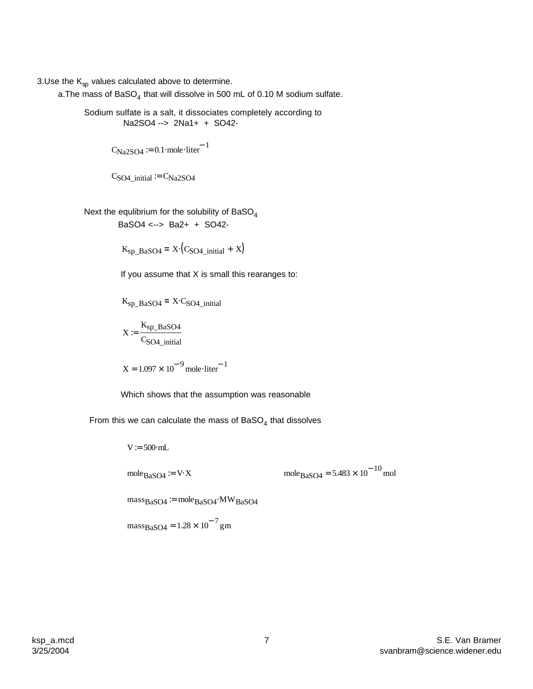3.Use the  $K_{sp}$  values calculated above to determine.

a.The mass of BaSO<sub>4</sub> that will dissolve in 500 mL of 0.10 M sodium sulfate.

Sodium sulfate is a salt, it dissociates completely according to Na2SO4 --> 2Na1+ + SO42-

 $C_{\text{Na2SO4}} \coloneqq 0.1 \cdot \text{mole} \cdot \text{liter}^{-1}$ 

$$
CSO4_initial := CNa2SO4
$$

Next the equlibrium for the solubility of  $BaSO<sub>4</sub>$ BaSO4 <--> Ba2+ + SO42-

 $K_{\text{sp\_BaSO4}} = X \cdot (C_{\text{SO4\_initial}} + X)$ 

If you assume that X is small this rearanges to:

$$
K_{\text{sp}\_ \text{BaSO4}} = X \cdot C_{\text{SO4}\_ \text{initial}}
$$

$$
X := \frac{K_{\text{sp}\_ \text{BaSO4}}}{C_{\text{SO4}\_ \text{initial}}}
$$

$$
X = 1.097 \times 10^{-9} \text{mole·liter}^{-1}
$$

Which shows that the assumption was reasonable

From this we can calculate the mass of BaSO<sub>4</sub> that dissolves

massBaSO4 1.28 <sup>10</sup><sup>−</sup> <sup>7</sup> = × gm massBaSO4 := moleBaSO4⋅MWBaSO4 moleBaSO4 5.483 <sup>10</sup><sup>−</sup> <sup>10</sup> moleBaSO4 := <sup>V</sup>⋅<sup>X</sup> <sup>=</sup> <sup>×</sup> mol V:= 500⋅mL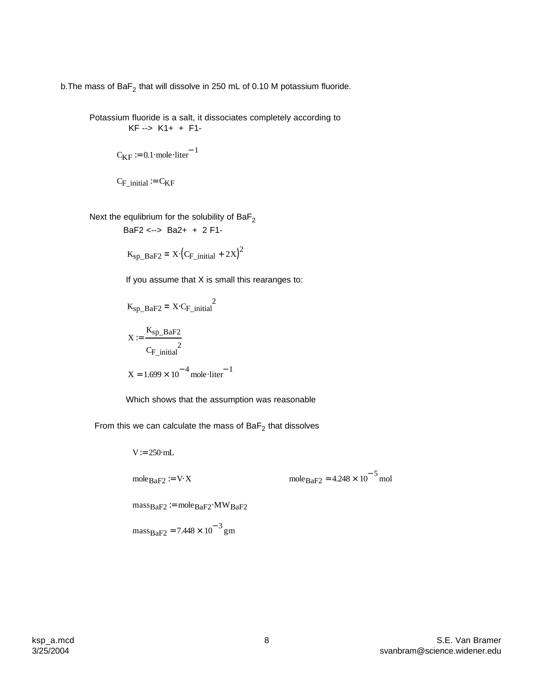b.The mass of Ba $F_2$  that will dissolve in 250 mL of 0.10 M potassium fluoride.

Potassium fluoride is a salt, it dissociates completely according to KF --> K1+ + F1-

$$
C_{KF} := 0.1 \cdot \text{mole} \cdot \text{liter}^{-1}
$$

$$
C_{F\_initial} := C_{KF}
$$

Next the equlibrium for the solubility of  $\textsf{BaF}_2$ 

$$
BaF2 \leftarrow > Ba2+ + 2F1-
$$

$$
K_{\text{sp\_BaF2}} = X \cdot \left( C_{F\_initial} + 2X \right)^2
$$

If you assume that X is small this rearanges to:

$$
K_{\rm sp\_BaF2} = X \cdot C_{\rm F\_initial}^{2}
$$

$$
X := \frac{K_{\rm sp\_BaF2}}{C_{\rm F\_initial}^{2}}
$$

$$
X = 1.699 \times 10^{-4} \text{ mole·liter}^{-1}
$$

Which shows that the assumption was reasonable

From this we can calculate the mass of BaF $_2$  that dissolves

$$
V = 250 \text{ mL}
$$
  
mole<sub>BaF2</sub> := V·X  
mose<sub>BaF2</sub> := W·X  
mass<sub>BaF2</sub> := mole<sub>BaF2</sub>·MW<sub>BaF2</sub>  
mass<sub>BaF2</sub> = 7.448 × 10<sup>-3</sup> gm

 $10^{-5}$  mol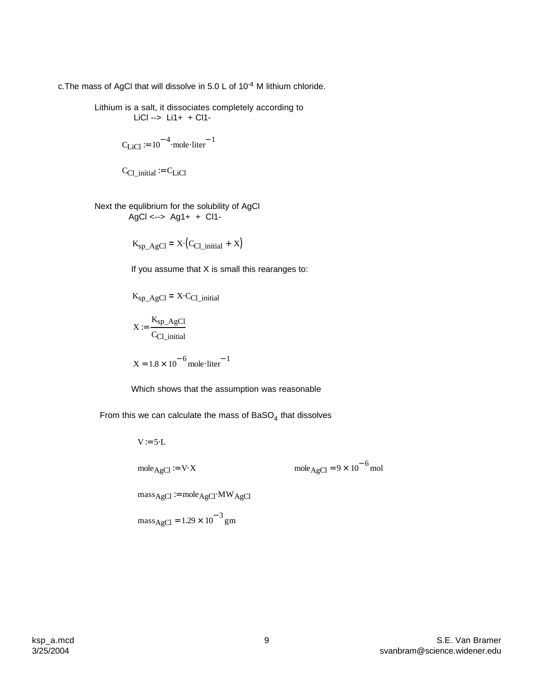c. The mass of AgCl that will dissolve in 5.0 L of  $10^{-4}$  M lithium chloride.

Lithium is a salt, it dissociates completely according to LiCl --> Li1+ + Cl1-

$$
C_{LiCl} \coloneqq 10^{-4} \cdot \text{mole·liter}^{-1}
$$

$$
C_{Cl\_initial} := C_{LiCl}
$$

Next the equlibrium for the solubility of AgCl  $AgCl \leftarrow > Ag1+ + Cl1-$ 

$$
K_{\text{sp}\_\text{AgCl}} = X \cdot (C_{\text{Cl}\_\text{initial}} + X)
$$

If you assume that X is small this rearanges to:

$$
K_{\text{sp}\_\text{AgCl}} = X \cdot C_{\text{Cl}\_\text{initial}}
$$

$$
X:=\frac{K_{sp\_AgCl}}{C_{Cl\_initial}}
$$

$$
X = 1.8 \times 10^{-6} \text{ mole·liter}^{-1}
$$

Which shows that the assumption was reasonable

From this we can calculate the mass of BaSO<sub>4</sub> that dissolves

V := 5·L  
\nmole<sub>AgCl</sub> := V·X  
\nmole<sub>AgCl</sub> := mole<sub>AgCl</sub>·MW<sub>AgCl</sub>  
\n
$$
\text{mass}_{AgCl} = 1.29 \times 10^{-3} \text{ gm}
$$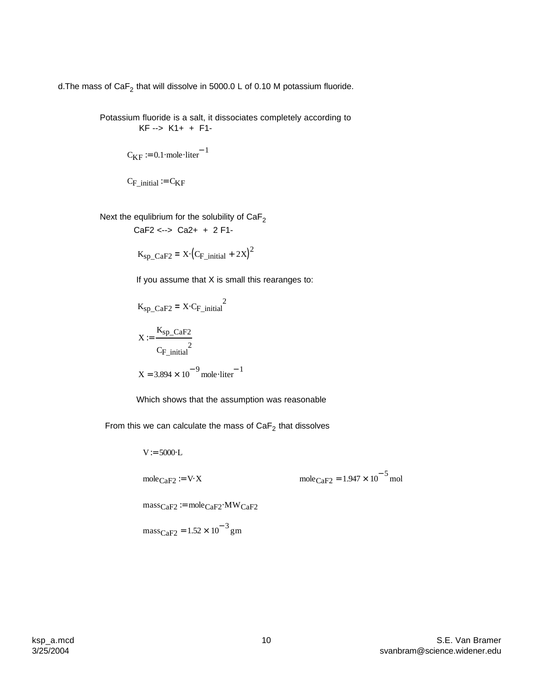d.The mass of Ca $F_2$  that will dissolve in 5000.0 L of 0.10 M potassium fluoride.

Potassium fluoride is a salt, it dissociates completely according to KF --> K1+ + F1-

$$
C_{KF} := 0.1 \cdot \text{mole·liter}^{-1}
$$

$$
C_{F\_initial} \coloneqq C_{KF}
$$

Next the equlibrium for the solubility of  $\text{CaF}_2$ 

CaF2 <--> Ca2+ + 2 F1-

$$
K_{\rm sp\_CaF2} = X \cdot \left( C_{F\_initial} + 2X \right)^2
$$

If you assume that X is small this rearanges to:

$$
K_{\rm sp\_CaF2} = X \cdot C_{\rm F\_initial}^{2}
$$

$$
X := \frac{K_{\rm sp\_CaF2}}{C_{\rm F\_initial}^{2}}
$$

$$
X = 3.894 \times 10^{-9} \text{ mole·liter}^{-1}
$$

Which shows that the assumption was reasonable

From this we can calculate the mass of CaF $_2$  that dissolves

$$
V := 5000 \text{ L}
$$
  
mole<sub>CaF2</sub> := V $\times$   
mole<sub>CaF2</sub> := W $\times$   
mass<sub>CaF2</sub> := mole<sub>CaF2</sub>·MW<sub>CaF2</sub>  
mass<sub>CaF2</sub> = 1.52 × 10<sup>-3</sup> gm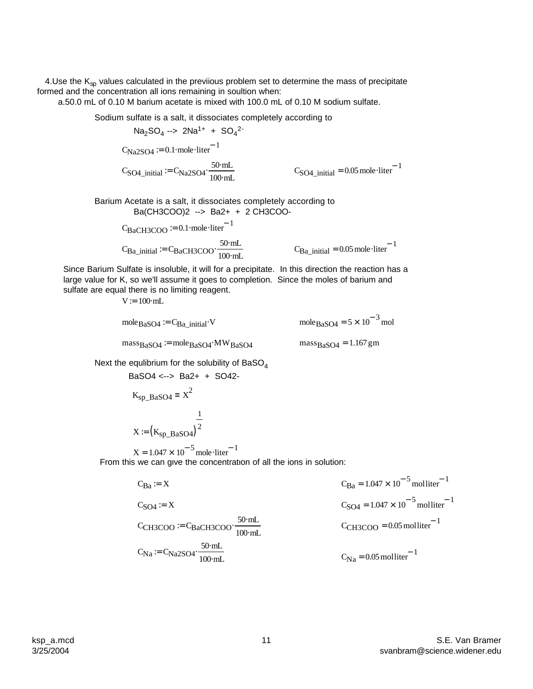4.Use the  $K_{sp}$  values calculated in the previious problem set to determine the mass of precipitate formed and the concentration all ions remaining in soultion when:

a.50.0 mL of 0.10 M barium acetate is mixed with 100.0 mL of 0.10 M sodium sulfate.

Sodium sulfate is a salt, it dissociates completely according to

 $C<sub>SO4</sub>$ \_initial = 0.05 mole liter<sup>-1</sup>  $C<sub>SO4</sub>_{initial} := C<sub>Na2SO4</sub> \cdot \frac{50 \text{ mL}}{100 \text{ J}}$   $C<sub>SO4</sub>_{initial} = 0.05 \text{ mole} \cdot$ 100⋅mL  $= C_{\text{Na2SO4}}$  $C_{\text{Na2SO4}} \coloneqq 0.1 \cdot \text{mole} \cdot \text{liter}^{-1}$  $Na<sub>2</sub>SO<sub>4</sub> \rightarrow 2Na<sup>1+</sup> + SO<sub>4</sub><sup>2-</sup>$ 

Barium Acetate is a salt, it dissociates completely according to Ba(CH3COO)2 --> Ba2+ + 2 CH3COO-

> $C_{Ba\_initial} = C_{BaCH3COO} \cdot \frac{50 \text{ mL}}{100 \text{ J}}$   $C_{Ba\_initial} = 0.05 \text{ mole} \cdot$ 100⋅mL  $= C_{BaCH3COO}$  $C_{BaCH3COO}$  = 0.1⋅mole⋅liter<sup>-1</sup>

$$
C_{Ba\_initial} = 0.05 \text{ mole·liter}^{-1}
$$

Since Barium Sulfate is insoluble, it will for a precipitate. In this direction the reaction has a large value for K, so we'll assume it goes to completion. Since the moles of barium and sulfate are equal there is no limiting reagent.

 $V:=100 \cdot mL$ 

mole<sub>BaSO4</sub> := 
$$
C_{Ba\_initial}
$$
 V  $mole_{BaSO4} = 5 \times 10^{-3} \text{ mol}$   
\n $mass_{BaSO4} := mole_{BaSO4} \cdot MW_{BaSO4}$   $mass_{BaSO4} = 1.167 \text{ gm}$ 

Next the equlibrium for the solubility of  $BaSO<sub>4</sub>$ 

$$
BaSO4 \leftarrow > Ba2+ + SO42-
$$

$$
K_{sp}\_BaSO4 = X^2
$$

$$
X := (K_{sp}\_BaSO4)^2
$$

From this we can give the concentration of all the ions in solution:  $X = 1.047 \times 10^{-5}$  mole⋅liter<sup>-1</sup>

$$
C_{Ba} = X
$$
  
\n $C_{SO4} = X$   
\n $C_{SO4} = 1.047 \times 10^{-5} \text{ molliter}^{-1}$   
\n $C_{SO4} = 1.047 \times 10^{-5} \text{ molliter}^{-1}$   
\n $C_{CH3COO} = 0.05 \text{ molliter}^{-1}$   
\n $C_{Na} = C_{Na2SO4} \cdot \frac{50 \text{ mL}}{100 \text{ mL}}$   
\n $C_{Na} = 0.05 \text{ molliter}^{-1}$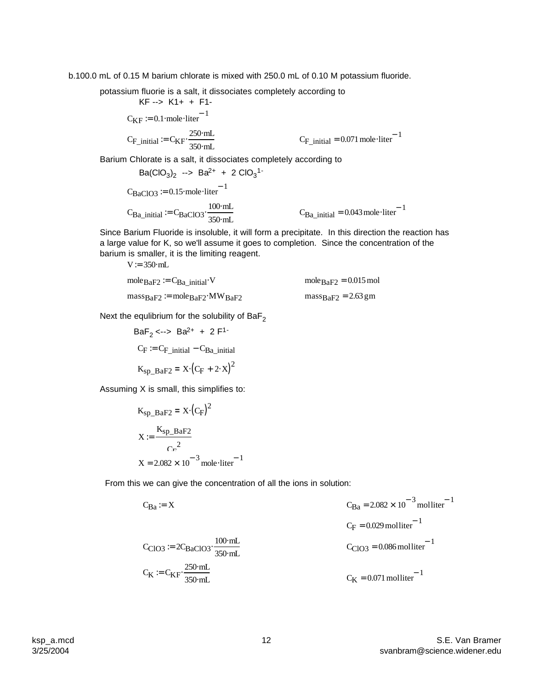b.100.0 mL of 0.15 M barium chlorate is mixed with 250.0 mL of 0.10 M potassium fluoride.

potassium fluorie is a salt, it dissociates completely according to

 KF --> K1+ + F1-  $C_{\text{KF}} \coloneqq 0.1 \cdot \text{mole} \cdot \text{liter}^{-1}$  $C_{\text{F}_i}$ initial  $= C_{\text{KF}} \cdot \frac{250 \text{ mL}}{250 \text{ J}}$ 350⋅mL  $= C_{\text{KF}} \cdot \frac{250 \text{ mL}}{250 \text{ J}}$   $C_{\text{F}_{\text{initial}}} = 0.071 \text{ mole·liter}^{-1}$ Barium Chlorate is a salt, it dissociates completely according to  $Ba(CIO<sub>3</sub>)<sub>2</sub>$  -->  $Ba<sup>2+</sup> + 2 ClO<sub>3</sub><sup>1-</sup>$  $C_{BaClO3}$  := 0.15⋅mole⋅liter<sup>-1</sup>

$$
C_{Ba\_initial} := C_{BaClO3} \cdot \frac{100 \text{ mL}}{350 \text{ mL}} \qquad C_{Ba\_initial} = 0.043 \text{ mole·liter}^{-1}
$$

Since Barium Fluoride is insoluble, it will form a precipitate. In this direction the reaction has a large value for K, so we'll assume it goes to completion. Since the concentration of the barium is smaller, it is the limiting reagent.

 $V := 350 \cdot mL$ 

mole<sub>BaF2</sub> := 
$$
C_{Ba\_initial} \cdot V
$$
   
\nmole<sub>BaF2</sub> = 0.015 mol  
\nmass<sub>BaF2</sub> := mole<sub>BaF2</sub>·MW<sub>BaF2</sub>   
\nmass<sub>BaF2</sub> = 2.63 gm

Next the equlibrium for the solubility of  $BaF<sub>2</sub>$ 

$$
BaF2 \leftarrow > Ba2+ + 2 F1-
$$
  
\n
$$
CF := CF_{initial} - CBa_{initial}
$$
  
\n
$$
Ksp_BaF2 = X \cdot (CF + 2 \cdot X)2
$$

Assuming X is small, this simplifies to:

$$
K_{\text{sp\_BaF2}} = X \cdot (C_{\text{F}})^{2}
$$

$$
X := \frac{K_{\text{sp\_BaF2}}}{C_{\text{r}}^{2}}
$$

$$
X = 2.082 \times 10^{-3} \text{ mole·liter}^{-1}
$$

From this we can give the concentration of all the ions in solution:

$$
C_{Ba} = X
$$
  
\n $C_{Ba} = 2.082 \times 10^{-3} \text{ mol liter}^{-1}$   
\n $C_{CIO3} = 2C_{BaClO3} \cdot \frac{100 \text{ mL}}{350 \text{ mL}}$   
\n $C_{CIO3} = 0.086 \text{ mol liter}^{-1}$   
\n $C_{CIO3} = 0.086 \text{ mol liter}^{-1}$   
\n $C_{K} = C_{KF} \cdot \frac{250 \text{ mL}}{350 \text{ mL}}$   
\n $C_{K} = 0.071 \text{ mol liter}^{-1}$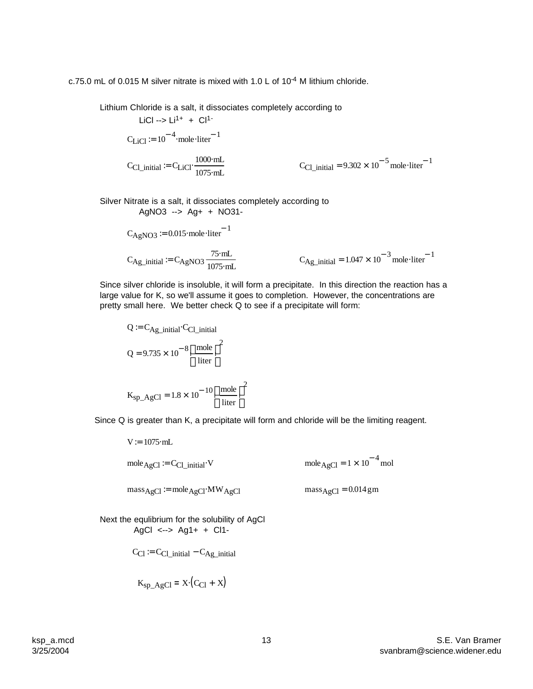c.75.0 mL of 0.015 M silver nitrate is mixed with 1.0 L of 10-4 M lithium chloride.

Lithium Chloride is a salt, it dissociates completely according to

$$
\text{LiCl} \rightarrow \text{Li}^{1+} + \text{Cl}^{1-}
$$
\n
$$
\text{C}_{\text{LiCl}} := 10^{-4} \cdot \text{mole-liter}^{-1}
$$
\n
$$
\text{C}_{\text{Cl\_initial}} := \text{C}_{\text{LiCl}} \cdot \frac{1000 \cdot \text{mL}}{1075 \cdot \text{mL}} \qquad \text{C}_{\text{Cl\_initial}} = 9.302 \times 10^{-5} \text{mole-liter}^{-1}
$$

Silver Nitrate is a salt, it dissociates completely according to AgNO3 --> Ag+ + NO31-

$$
C_{AgNO3} := 0.015 \text{ mole·liter}^{-1}
$$

$$
C_{\text{Ag\_initial}} := C_{\text{AgNO3}} \frac{75 \text{ mL}}{1075 \text{ mL}} \qquad C_{\text{Ag\_initial}} = 1.047 \times 10^{-3} \text{ mole·liter}^{-1}
$$

Since silver chloride is insoluble, it will form a precipitate. In this direction the reaction has a large value for K, so we'll assume it goes to completion. However, the concentrations are pretty small here. We better check Q to see if a precipitate will form:

$$
Q = C_{Ag\_initial} \cdot C_{Cl\_initial}
$$

$$
Q = 9.735 \times 10^{-8} \left(\frac{\text{mole}}{\text{liter}}\right)^2
$$

$$
K_{sp\_AgCl} = 1.8 \times 10^{-10} \left(\frac{\text{mole}}{\text{liter}}\right)^2
$$

Since Q is greater than K, a precipitate will form and chloride will be the limiting reagent.

$$
V := 1075 \text{ mL}
$$
  
\n
$$
\text{mole}_{AgCl} := C_{Cl\_initial} \cdot V
$$
  
\n
$$
\text{mole}_{AgCl} = 1 \times 10^{-4} \text{ mol}
$$
  
\n
$$
\text{mass}_{AgCl} := \text{mole}_{AgCl} \cdot MW_{AgCl}
$$
  
\n
$$
\text{mass}_{AgCl} = 0.014 \text{ gm}
$$

Next the equlibrium for the solubility of AgCl AgCl <--> Ag1+ + Cl1-

$$
C_{Cl} := C_{Cl\_initial} - C_{Ag\_initial}
$$

$$
K_{\rm sp\_AgCl} = X \cdot (C_{\rm Cl} + X)
$$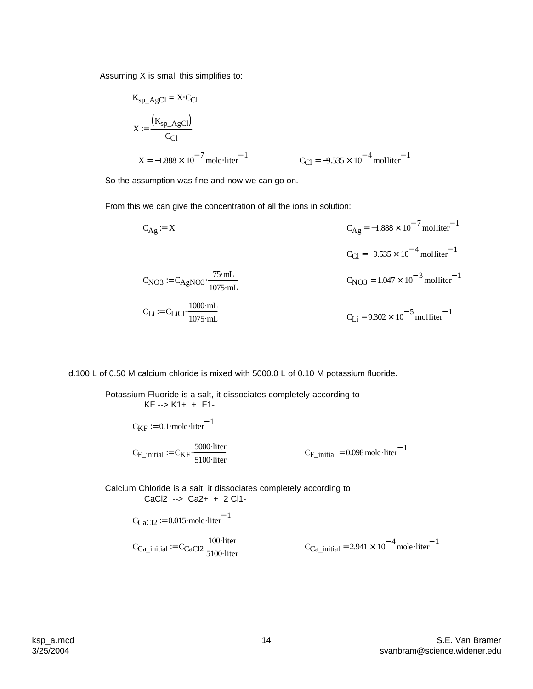Assuming X is small this simplifies to:

$$
K_{\text{sp}\_A \text{gCl}} = X \cdot C_{\text{Cl}}
$$
\n
$$
X := \frac{(K_{\text{sp}\_A \text{gCl}})}{C_{\text{Cl}}}
$$
\n
$$
X = -1.888 \times 10^{-7} \text{ mole·liter}^{-1}
$$
\n
$$
C_{\text{Cl}} = -9.535 \times 10^{-4} \text{ molliter}^{-1}
$$

So the assumption was fine and now we can go on.

From this we can give the concentration of all the ions in solution:

$$
C_{Ag} = X
$$
\n
$$
C_{Ag} = -1.888 \times 10^{-7} \text{molliter}^{-1}
$$
\n
$$
C_{Cl} = -9.535 \times 10^{-4} \text{molliter}^{-1}
$$
\n
$$
C_{NO3} = C_{AgNO3} \cdot \frac{75 \text{ mL}}{1075 \text{ mL}}
$$
\n
$$
C_{NO3} = 1.047 \times 10^{-3} \text{molliter}^{-1}
$$
\n
$$
C_{Li} = C_{LiCl} \cdot \frac{1000 \text{ mL}}{1075 \text{ mL}}
$$
\n
$$
C_{Li} = 9.302 \times 10^{-5} \text{molliter}^{-1}
$$

d.100 L of 0.50 M calcium chloride is mixed with 5000.0 L of 0.10 M potassium fluoride.

 $C_{\text{F}_\text{initial}} = 0.098 \text{ mole·liter}^{-1}$  $C_{\text{F}_{\text{initial}}} = C_{\text{KF}} \cdot \frac{5000 \text{ liter}}{5100 \text{ Hz}}$   $C_{\text{F}_{\text{initial}}} = 0.098 \text{ mole} \cdot$ 5100⋅liter  $:= C_{KF}$  $C_{\text{KF}} \coloneqq 0.1 \cdot \text{mole} \cdot \text{liter}^{-1}$ Potassium Fluoride is a salt, it dissociates completely according to KF --> K1+ + F1-

Calcium Chloride is a salt, it dissociates completely according to CaCl2 --> Ca2+ + 2 Cl1-

$$
C_{CaCl2} \coloneqq 0.015 \text{ mole·liter}^{-1}
$$

 $C_{Ca\_initial} = 2.941 \times 10^{-4}$  mole liter<sup>-1</sup>  $C_{\text{Ca\_initial}} := C_{\text{CaCl2}} \frac{100 \text{ liter}}{5100 \text{ Hz}}$   $C_{\text{Ca\_initial}} = 2.941 \times 10^{-4} \text{ mole}$ 5100⋅liter :=